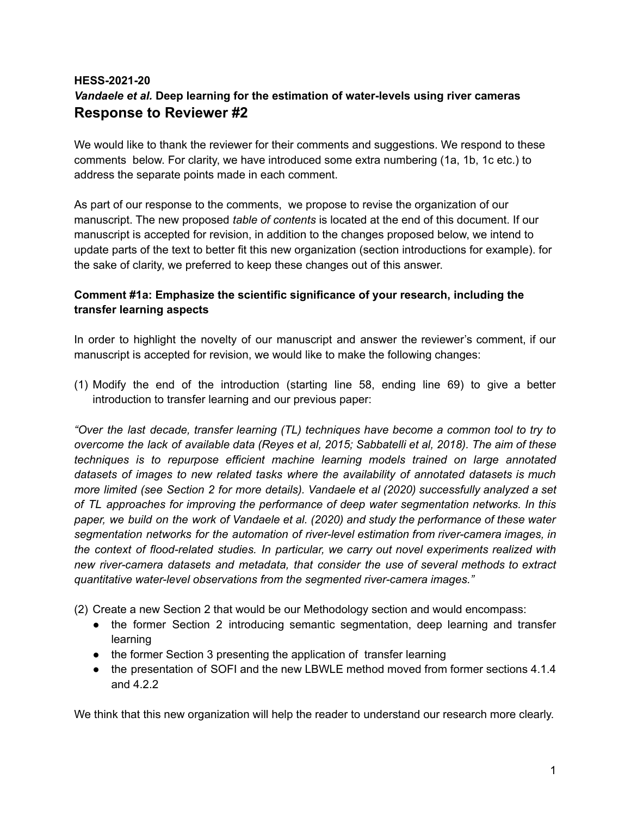# **HESS-2021-20** *Vandaele et al.* **Deep learning for the estimation of water-levels using river cameras Response to Reviewer #2**

We would like to thank the reviewer for their comments and suggestions. We respond to these comments below. For clarity, we have introduced some extra numbering (1a, 1b, 1c etc.) to address the separate points made in each comment.

As part of our response to the comments, we propose to revise the organization of our manuscript. The new proposed *table of contents* is located at the end of this document. If our manuscript is accepted for revision, in addition to the changes proposed below, we intend to update parts of the text to better fit this new organization (section introductions for example). for the sake of clarity, we preferred to keep these changes out of this answer.

## **Comment #1a: Emphasize the scientific significance of your research, including the transfer learning aspects**

In order to highlight the novelty of our manuscript and answer the reviewer's comment, if our manuscript is accepted for revision, we would like to make the following changes:

(1) Modify the end of the introduction (starting line 58, ending line 69) to give a better introduction to transfer learning and our previous paper:

*"Over the last decade, transfer learning (TL) techniques have become a common tool to try to overcome the lack of available data (Reyes et al, 2015; Sabbatelli et al, 2018). The aim of these techniques is to repurpose efficient machine learning models trained on large annotated datasets of images to new related tasks where the availability of annotated datasets is much more limited (see Section 2 for more details). Vandaele et al (2020) successfully analyzed a set of TL approaches for improving the performance of deep water segmentation networks. In this paper, we build on the work of Vandaele et al. (2020) and study the performance of these water segmentation networks for the automation of river-level estimation from river-camera images, in the context of flood-related studies. In particular, we carry out novel experiments realized with new river-camera datasets and metadata, that consider the use of several methods to extract quantitative water-level observations from the segmented river-camera images."*

(2) Create a new Section 2 that would be our Methodology section and would encompass:

- the former Section 2 introducing semantic segmentation, deep learning and transfer learning
- the former Section 3 presenting the application of transfer learning
- the presentation of SOFI and the new LBWLE method moved from former sections 4.1.4 and 4.2.2

We think that this new organization will help the reader to understand our research more clearly.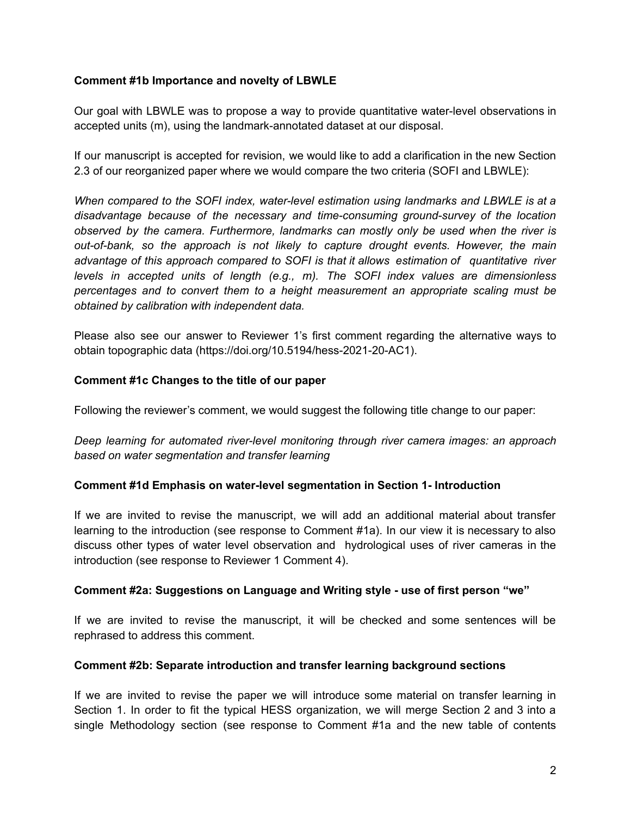## **Comment #1b Importance and novelty of LBWLE**

Our goal with LBWLE was to propose a way to provide quantitative water-level observations in accepted units (m), using the landmark-annotated dataset at our disposal.

If our manuscript is accepted for revision, we would like to add a clarification in the new Section 2.3 of our reorganized paper where we would compare the two criteria (SOFI and LBWLE):

*When compared to the SOFI index, water-level estimation using landmarks and LBWLE is at a disadvantage because of the necessary and time-consuming ground-survey of the location observed by the camera. Furthermore, landmarks can mostly only be used when the river is out-of-bank, so the approach is not likely to capture drought events. However, the main advantage of this approach compared to SOFI is that it allows estimation of quantitative river levels in accepted units of length (e.g., m). The SOFI index values are dimensionless percentages and to convert them to a height measurement an appropriate scaling must be obtained by calibration with independent data.*

Please also see our answer to Reviewer 1's first comment regarding the alternative ways to obtain topographic data (https://doi.org/10.5194/hess-2021-20-AC1).

## **Comment #1c Changes to the title of our paper**

Following the reviewer's comment, we would suggest the following title change to our paper:

*Deep learning for automated river-level monitoring through river camera images: an approach based on water segmentation and transfer learning*

## **Comment #1d Emphasis on water-level segmentation in Section 1- Introduction**

If we are invited to revise the manuscript, we will add an additional material about transfer learning to the introduction (see response to Comment #1a). In our view it is necessary to also discuss other types of water level observation and hydrological uses of river cameras in the introduction (see response to Reviewer 1 Comment 4).

### **Comment #2a: Suggestions on Language and Writing style - use of first person "we"**

If we are invited to revise the manuscript, it will be checked and some sentences will be rephrased to address this comment.

### **Comment #2b: Separate introduction and transfer learning background sections**

If we are invited to revise the paper we will introduce some material on transfer learning in Section 1. In order to fit the typical HESS organization, we will merge Section 2 and 3 into a single Methodology section (see response to Comment #1a and the new table of contents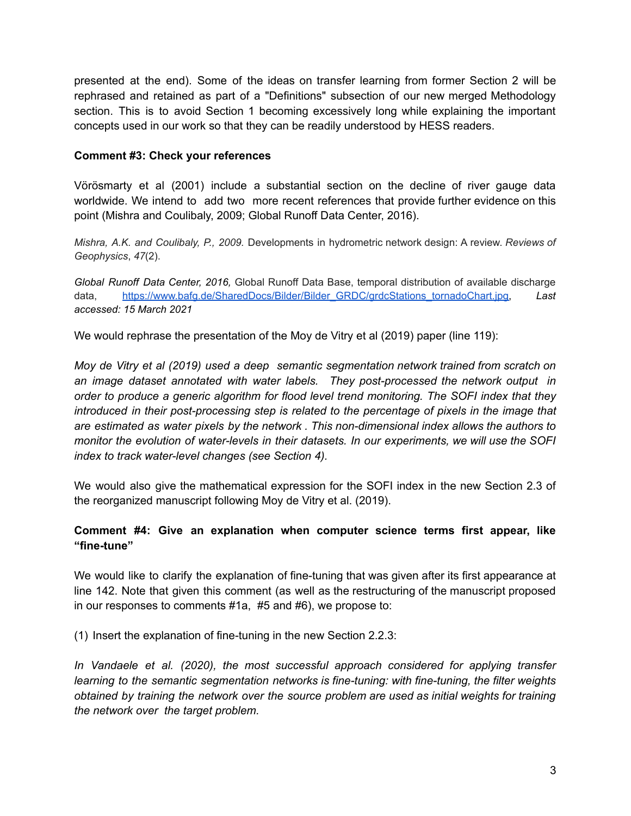presented at the end). Some of the ideas on transfer learning from former Section 2 will be rephrased and retained as part of a "Definitions" subsection of our new merged Methodology section. This is to avoid Section 1 becoming excessively long while explaining the important concepts used in our work so that they can be readily understood by HESS readers.

## **Comment #3: Check your references**

Vörösmarty et al (2001) include a substantial section on the decline of river gauge data worldwide. We intend to add two more recent references that provide further evidence on this point (Mishra and Coulibaly, 2009; Global Runoff Data Center, 2016).

*Mishra, A.K. and Coulibaly, P., 2009.* Developments in hydrometric network design: A review. *Reviews of Geophysics*, *47*(2).

*Global Runoff Data Center, 2016,* Global Runoff Data Base, temporal distribution of available discharge data, [https://www.bafg.de/SharedDocs/Bilder/Bilder\\_GRDC/grdcStations\\_tornadoChart.jpg,](https://www.bafg.de/SharedDocs/Bilder/Bilder_GRDC/grdcStations_tornadoChart.jpg) *Last accessed: 15 March 2021*

We would rephrase the presentation of the Moy de Vitry et al (2019) paper (line 119):

*Moy de Vitry et al (2019) used a deep semantic segmentation network trained from scratch on an image dataset annotated with water labels. They post-processed the network output in order to produce a generic algorithm for flood level trend monitoring. The SOFI index that they introduced in their post-processing step is related to the percentage of pixels in the image that are estimated as water pixels by the network . This non-dimensional index allows the authors to monitor the evolution of water-levels in their datasets. In our experiments, we will use the SOFI index to track water-level changes (see Section 4).*

We would also give the mathematical expression for the SOFI index in the new Section 2.3 of the reorganized manuscript following Moy de Vitry et al. (2019).

## **Comment #4: Give an explanation when computer science terms first appear, like "fine-tune"**

We would like to clarify the explanation of fine-tuning that was given after its first appearance at line 142. Note that given this comment (as well as the restructuring of the manuscript proposed in our responses to comments #1a, #5 and #6), we propose to:

(1) Insert the explanation of fine-tuning in the new Section 2.2.3:

*In Vandaele et al. (2020), the most successful approach considered for applying transfer learning to the semantic segmentation networks is fine-tuning: with fine-tuning, the filter weights obtained by training the network over the source problem are used as initial weights for training the network over the target problem.*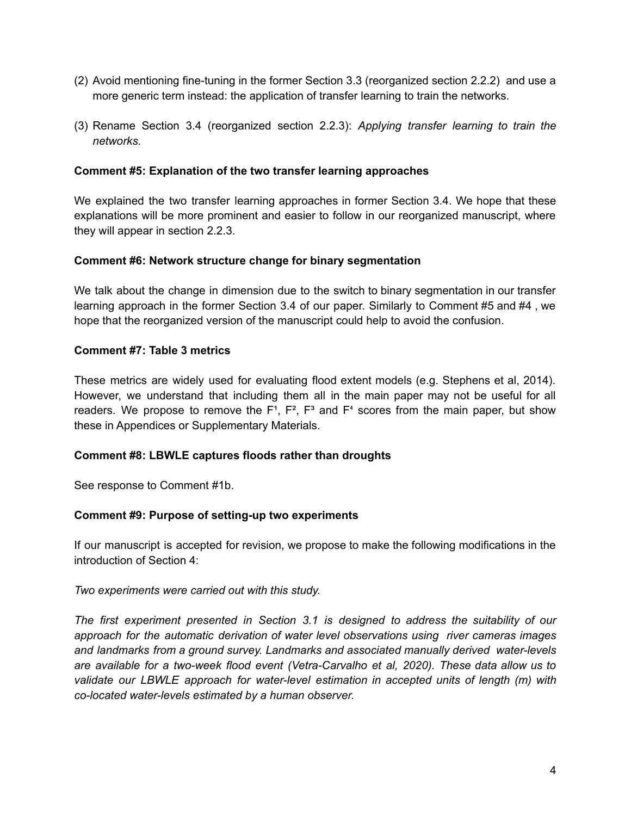- (2) Avoid mentioning fine-tuning in the former Section 3.3 (reorganized section 2.2.2) and use a more generic term instead: the application of transfer learning to train the networks.
- (3) Rename Section 3.4 (reorganized section 2.2.3): *Applying transfer learning to train the networks.*

## **Comment #5: Explanation of the two transfer learning approaches**

We explained the two transfer learning approaches in former Section 3.4. We hope that these explanations will be more prominent and easier to follow in our reorganized manuscript, where they will appear in section 2.2.3.

### **Comment #6: Network structure change for binary segmentation**

We talk about the change in dimension due to the switch to binary segmentation in our transfer learning approach in the former Section 3.4 of our paper. Similarly to Comment #5 and #4 , we hope that the reorganized version of the manuscript could help to avoid the confusion.

## **Comment #7: Table 3 metrics**

These metrics are widely used for evaluating flood extent models (e.g. Stephens et al, 2014). However, we understand that including them all in the main paper may not be useful for all readers. We propose to remove the  $F^1$ ,  $F^2$ ,  $F^3$  and  $F^4$  scores from the main paper, but show these in Appendices or Supplementary Materials.

## **Comment #8: LBWLE captures floods rather than droughts**

See response to Comment #1b.

## **Comment #9: Purpose of setting-up two experiments**

If our manuscript is accepted for revision, we propose to make the following modifications in the introduction of Section 4:

### *Two experiments were carried out with this study.*

*The first experiment presented in Section 3.1 is designed to address the suitability of our approach for the automatic derivation of water level observations using river cameras images and landmarks from a ground survey. Landmarks and associated manually derived water-levels are available for a two-week flood event (Vetra-Carvalho et al, 2020). These data allow us to validate our LBWLE approach for water-level estimation in accepted units of length (m) with co-located water-levels estimated by a human observer.*